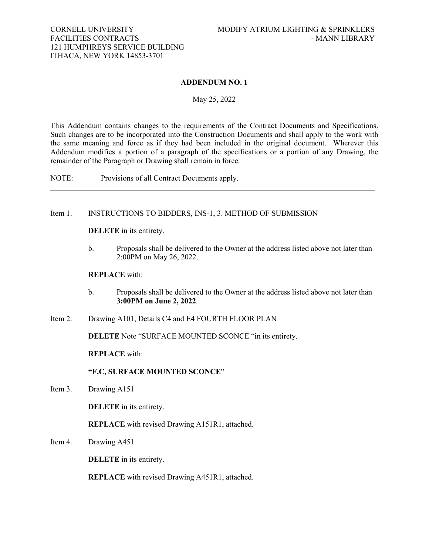## **ADDENDUM NO. 1**

### May 25, 2022

<span id="page-0-0"></span>This Addendum contains changes to the requirements of the Contract Documents and Specifications. Such changes are to be incorporated into the Construction Documents and shall apply to the work with the same meaning and force as if they had been included in the original document. Wherever this Addendum modifies a portion of a paragraph of the specifications or a portion of any Drawing, the remainder of the Paragraph or Drawing shall remain in force.

NOTE: Provisions of all Contract Documents apply.

## Item 1. INSTRUCTIONS TO BIDDERS, INS-1, 3. METHOD OF SUBMISSION

**DELETE** in its entirety.

b. Proposals shall be delivered to the Owner at the address listed above not later than 2:00PM on May 26, 2022.

## **REPLACE** with:

- b. Proposals shall be delivered to the Owner at the address listed above not later than **3:00PM on June 2, 2022**.
- Item 2. Drawing A101, Details C4 and E4 FOURTH FLOOR PLAN

**DELETE** Note "SURFACE MOUNTED SCONCE "in its entirety.

**REPLACE** with:

**"F.C, SURFACE MOUNTED SCONCE**"

Item 3. Drawing A151

**DELETE** in its entirety.

**REPLACE** with revised Drawing A151R1, attached.

Item 4. Drawing A451

**DELETE** in its entirety.

**REPLACE** with revised Drawing A451R1, attached.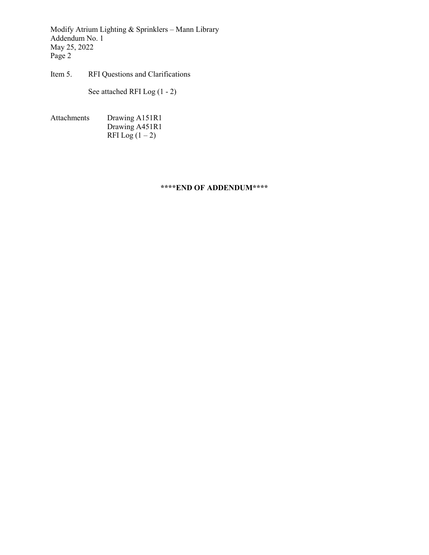Modify Atrium Lighting & Sprinklers – Mann Library Addendum No. 1 May 25, 2022 Page 2

Item 5. RFI Questions and Clarifications

See attached RFI Log (1 - 2)

Attachments Drawing A151R1 Drawing A451R1 RFI Log $(1-2)$ 

# **\*\*\*\*END OF ADDENDUM\*\*\*\***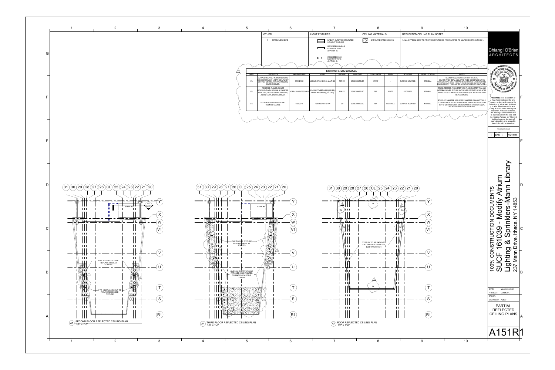





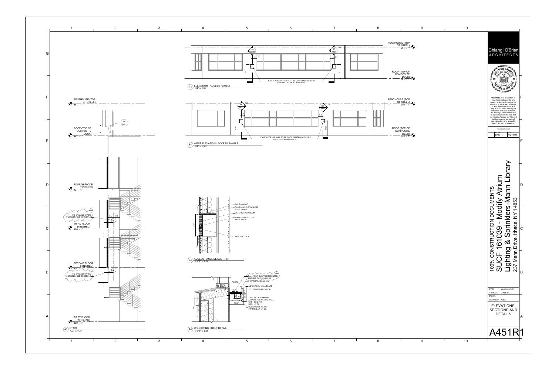<u>OF STEEL)</u> 951' - 7"



942' - 7"

PENTHOUSE (TOP







951' - 7"



9 10